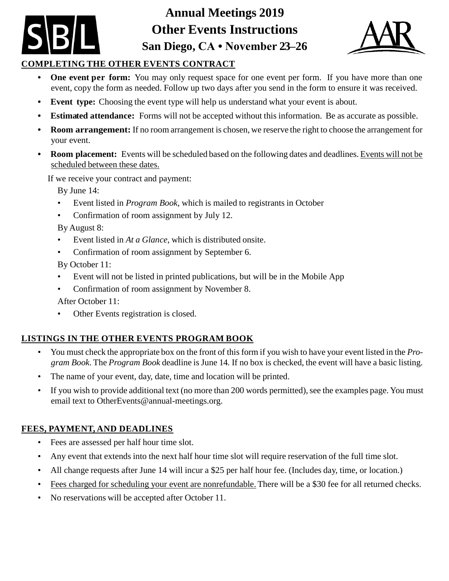**Annual Meetings 2019 Other Events Instructions San Diego, CA • November 23–26**



# **COMPLETING THE OTHER EVENTS CONTRACT**

- **One** event per form: You may only request space for one event per form. If you have more than one event, copy the form as needed. Follow up two days after you send in the form to ensure it was received.
- **• Event type:** Choosing the event type will help us understand what your event is about.
- **• Estimated attendance:** Forms will not be accepted without this information. Be as accurate as possible.
- **• Room arrangement:** If no room arrangement is chosen, we reserve the right to choose the arrangement for your event.
- **• Room placement:** Events will be scheduled based on the following dates and deadlines. Events will not be scheduled between these dates.

If we receive your contract and payment:

By June 14:

- Event listed in *Program Book*, which is mailed to registrants in October
- Confirmation of room assignment by July 12.

By August 8:

- Event listed in *At a Glance*, which is distributed onsite.
- Confirmation of room assignment by September 6.

By October 11:

- Event will not be listed in printed publications, but will be in the Mobile App
- Confirmation of room assignment by November 8.
- After October 11:
- Other Events registration is closed.

# **LISTINGS IN THE OTHER EVENTS PROGRAM BOOK**

- You must check the appropriate box on the front of this form if you wish to have your event listed in the *Program Book*. The *Program Book* deadline is June 14. If no box is checked, the event will have a basic listing.
- The name of your event, day, date, time and location will be printed.
- If you wish to provide additional text (no more than 200 words permitted), see the examples page. You must email text to [OtherEvents@annual-meetings.org.](mailto:OtherEvents@annual-meetings.org)

# **FEES, PAYMENT, AND DEADLINES**

- Fees are assessed per half hour time slot.
- Any event that extends into the next half hour time slot will require reservation of the full time slot.
- All change requests after June 14 will incur a \$25 per half hour fee. (Includes day, time, or location.)
- Fees charged for scheduling your event are nonrefundable. There will be a \$30 fee for all returned checks.
- No reservations will be accepted after October 11.